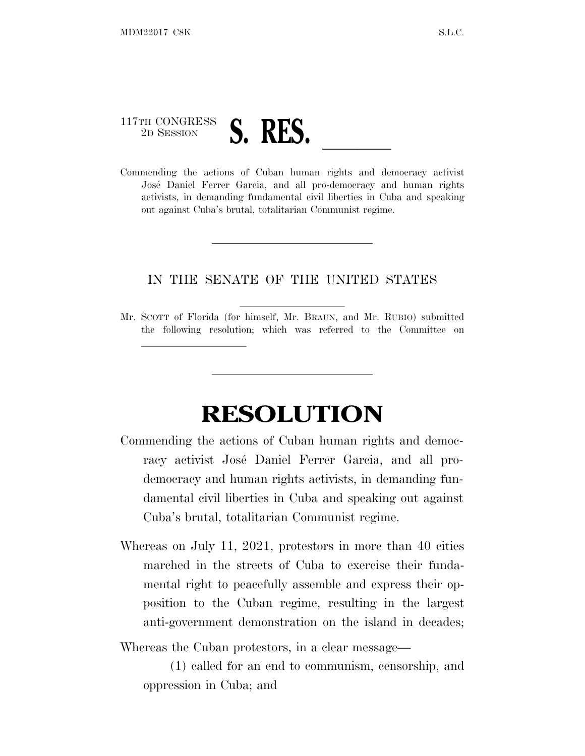## 117TH CONGRESS <sup>117TH CONGRESS</sup><br>Commending the actions of Cuban human rights and democracy activist

lland and a state of the state of the state of the state of the state of the state of the state of the state o

José Daniel Ferrer Garcia, and all pro-democracy and human rights activists, in demanding fundamental civil liberties in Cuba and speaking out against Cuba's brutal, totalitarian Communist regime.

## IN THE SENATE OF THE UNITED STATES

Mr. SCOTT of Florida (for himself, Mr. BRAUN, and Mr. RUBIO) submitted the following resolution; which was referred to the Committee on

## **RESOLUTION**

- Commending the actions of Cuban human rights and democracy activist José Daniel Ferrer Garcia, and all prodemocracy and human rights activists, in demanding fundamental civil liberties in Cuba and speaking out against Cuba's brutal, totalitarian Communist regime.
- Whereas on July 11, 2021, protestors in more than 40 cities marched in the streets of Cuba to exercise their fundamental right to peacefully assemble and express their opposition to the Cuban regime, resulting in the largest anti-government demonstration on the island in decades;

Whereas the Cuban protestors, in a clear message—

(1) called for an end to communism, censorship, and oppression in Cuba; and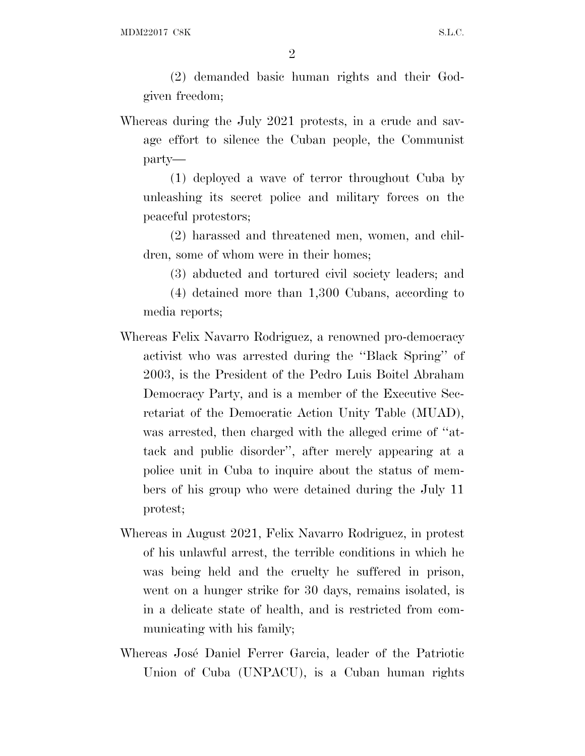2

(2) demanded basic human rights and their Godgiven freedom;

Whereas during the July 2021 protests, in a crude and savage effort to silence the Cuban people, the Communist party—

(1) deployed a wave of terror throughout Cuba by unleashing its secret police and military forces on the peaceful protestors;

(2) harassed and threatened men, women, and children, some of whom were in their homes;

(3) abducted and tortured civil society leaders; and

(4) detained more than 1,300 Cubans, according to media reports;

- Whereas Felix Navarro Rodriguez, a renowned pro-democracy activist who was arrested during the ''Black Spring'' of 2003, is the President of the Pedro Luis Boitel Abraham Democracy Party, and is a member of the Executive Secretariat of the Democratic Action Unity Table (MUAD), was arrested, then charged with the alleged crime of "attack and public disorder'', after merely appearing at a police unit in Cuba to inquire about the status of members of his group who were detained during the July 11 protest;
- Whereas in August 2021, Felix Navarro Rodriguez, in protest of his unlawful arrest, the terrible conditions in which he was being held and the cruelty he suffered in prison, went on a hunger strike for 30 days, remains isolated, is in a delicate state of health, and is restricted from communicating with his family;
- Whereas José Daniel Ferrer Garcia, leader of the Patriotic Union of Cuba (UNPACU), is a Cuban human rights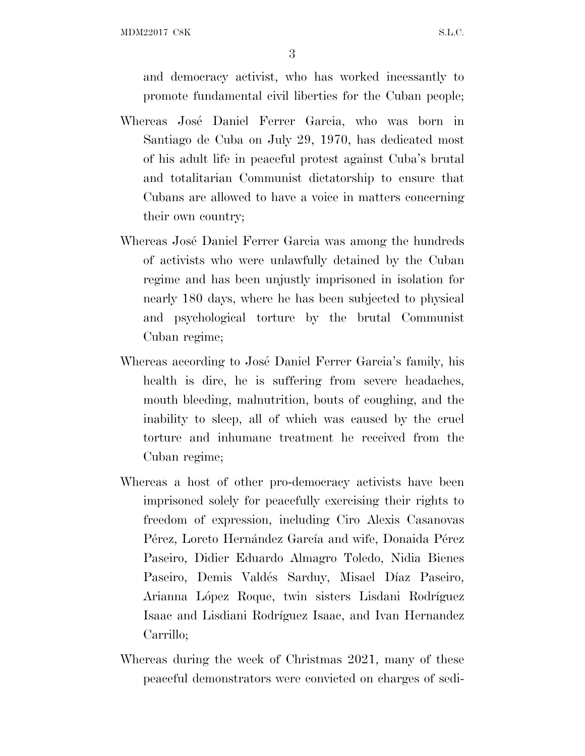MDM22017 C8K S.L.C.

3

and democracy activist, who has worked incessantly to promote fundamental civil liberties for the Cuban people;

- Whereas José Daniel Ferrer Garcia, who was born in Santiago de Cuba on July 29, 1970, has dedicated most of his adult life in peaceful protest against Cuba's brutal and totalitarian Communist dictatorship to ensure that Cubans are allowed to have a voice in matters concerning their own country;
- Whereas José Daniel Ferrer Garcia was among the hundreds of activists who were unlawfully detained by the Cuban regime and has been unjustly imprisoned in isolation for nearly 180 days, where he has been subjected to physical and psychological torture by the brutal Communist Cuban regime;
- Whereas according to José Daniel Ferrer Garcia's family, his health is dire, he is suffering from severe headaches, mouth bleeding, malnutrition, bouts of coughing, and the inability to sleep, all of which was caused by the cruel torture and inhumane treatment he received from the Cuban regime;
- Whereas a host of other pro-democracy activists have been imprisoned solely for peacefully exercising their rights to freedom of expression, including Ciro Alexis Casanovas Pérez, Loreto Hernández García and wife, Donaida Pérez Paseiro, Didier Eduardo Almagro Toledo, Nidia Bienes Paseiro, Demis Valdés Sarduy, Misael Díaz Paseiro, Arianna López Roque, twin sisters Lisdani Rodríguez Isaac and Lisdiani Rodríguez Isaac, and Ivan Hernandez Carrillo;
- Whereas during the week of Christmas 2021, many of these peaceful demonstrators were convicted on charges of sedi-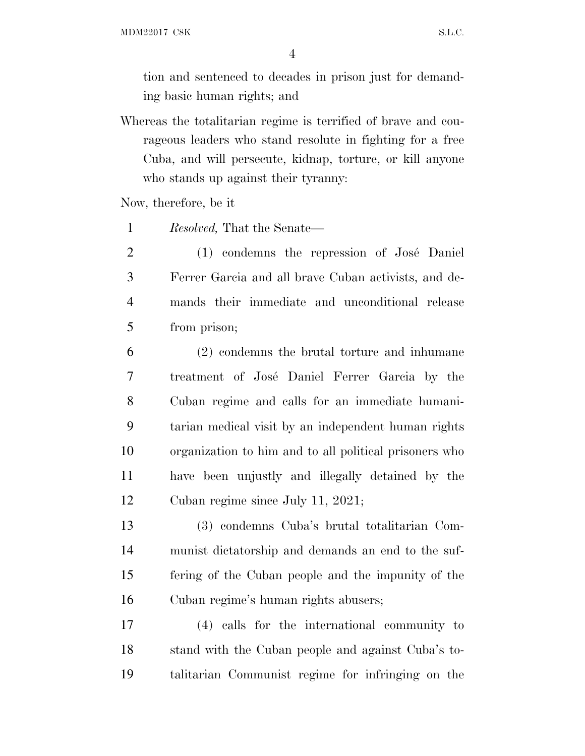MDM22017 C8K S.L.C.

tion and sentenced to decades in prison just for demanding basic human rights; and

Whereas the totalitarian regime is terrified of brave and courageous leaders who stand resolute in fighting for a free Cuba, and will persecute, kidnap, torture, or kill anyone who stands up against their tyranny:

Now, therefore, be it

*Resolved,* That the Senate—

2 (1) condemns the repression of José Daniel Ferrer Garcia and all brave Cuban activists, and de- mands their immediate and unconditional release from prison;

 (2) condemns the brutal torture and inhumane 7 treatment of José Daniel Ferrer Garcia by the Cuban regime and calls for an immediate humani- tarian medical visit by an independent human rights organization to him and to all political prisoners who have been unjustly and illegally detained by the Cuban regime since July 11, 2021;

 (3) condemns Cuba's brutal totalitarian Com- munist dictatorship and demands an end to the suf- fering of the Cuban people and the impunity of the Cuban regime's human rights abusers;

 (4) calls for the international community to stand with the Cuban people and against Cuba's to-talitarian Communist regime for infringing on the